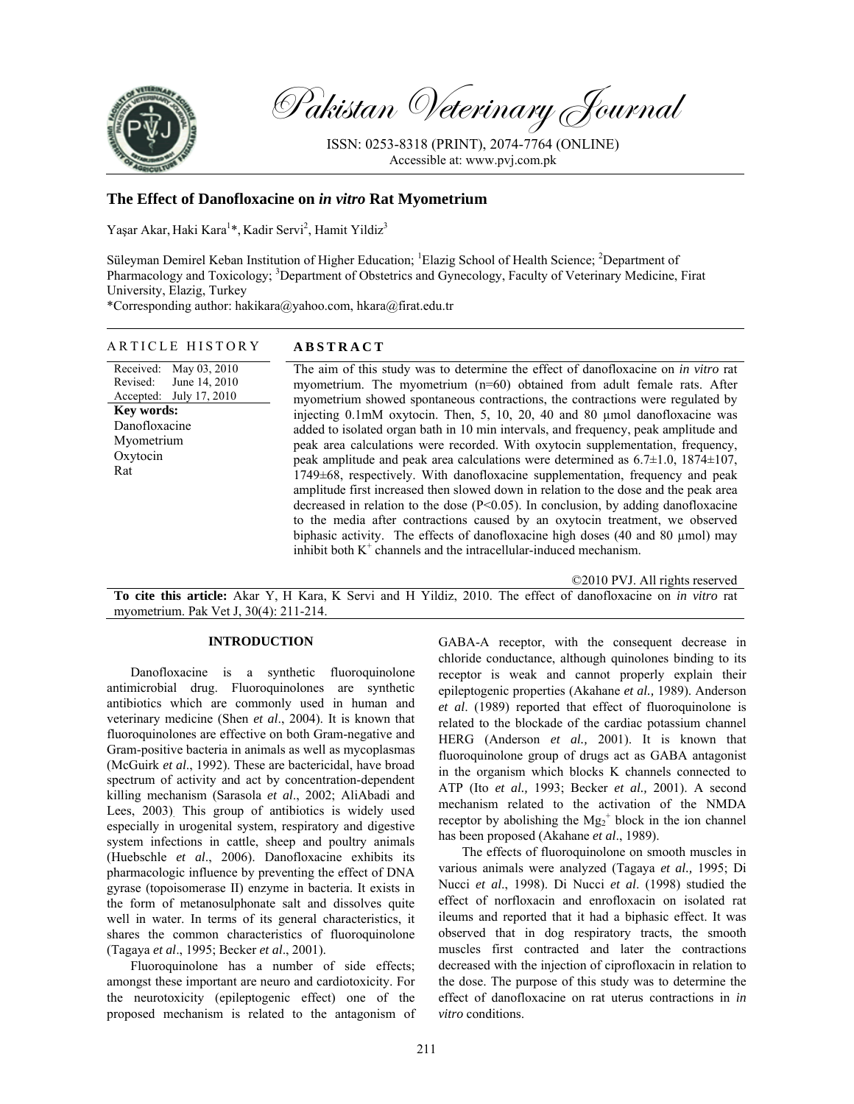

Pakistan Veterinary Journal

ISSN: 0253-8318 (PRINT), 2074-7764 (ONLINE) Accessible at: www.pvj.com.pk

# **The Effect of Danofloxacine on** *in vitro* **Rat Myometrium**

Yaşar Akar, Haki Kara<sup>1\*</sup>, Kadir Servi<sup>2</sup>, Hamit Yildiz<sup>3</sup>

Süleyman Demirel Keban Institution of Higher Education; <sup>1</sup>Elazig School of Health Science; <sup>2</sup>Department of Pharmacology and Toxicology; <sup>3</sup>Department of Obstetrics and Gynecology, Faculty of Veterinary Medicine, Firat University, Elazig, Turkey

\*Corresponding author: hakikara@yahoo.com, hkara@firat.edu.tr

### ARTICLE HISTORY **ABSTRACT**

Received: Revised: Accepted: May 03, 2010 June 14, 2010 July 17, 2010 **Key words:**  Danofloxacine Myometrium Oxytocin Rat

The aim of this study was to determine the effect of danofloxacine on *in vitro* rat myometrium. The myometrium (n=60) obtained from adult female rats. After myometrium showed spontaneous contractions, the contractions were regulated by injecting 0.1mM oxytocin. Then, 5, 10, 20, 40 and 80 µmol danofloxacine was added to isolated organ bath in 10 min intervals, and frequency, peak amplitude and peak area calculations were recorded. With oxytocin supplementation, frequency, peak amplitude and peak area calculations were determined as 6.7±1.0, 1874±107, 1749±68, respectively. With danofloxacine supplementation, frequency and peak amplitude first increased then slowed down in relation to the dose and the peak area decreased in relation to the dose  $(P<0.05)$ . In conclusion, by adding danofloxacine to the media after contractions caused by an oxytocin treatment, we observed biphasic activity. The effects of danofloxacine high doses (40 and 80 µmol) may inhibit both  $K^+$  channels and the intracellular-induced mechanism.

©2010 PVJ. All rights reserved

**To cite this article:** Akar Y, H Kara, K Servi and H Yildiz, 2010. The effect of danofloxacine on *in vitro* rat myometrium. Pak Vet J, 30(4): 211-214.

### **INTRODUCTION**

Danofloxacine is a synthetic fluoroquinolone antimicrobial drug. Fluoroquinolones are synthetic antibiotics which are commonly used in human and veterinary medicine (Shen *et al*., 2004). It is known that fluoroquinolones are effective on both Gram-negative and Gram-positive bacteria in animals as well as mycoplasmas (McGuirk *et al*., 1992). These are bactericidal, have broad spectrum of activity and act by concentration-dependent killing mechanism (Sarasola *et al*., 2002; AliAbadi and Lees, 2003). This group of antibiotics is widely used especially in urogenital system, respiratory and digestive system infections in cattle, sheep and poultry animals (Huebschle *et al*., 2006). Danofloxacine exhibits its pharmacologic influence by preventing the effect of DNA gyrase (topoisomerase II) enzyme in bacteria. It exists in the form of metanosulphonate salt and dissolves quite well in water. In terms of its general characteristics, it shares the common characteristics of fluoroquinolone (Tagaya *et al*., 1995; Becker *et al*., 2001).

Fluoroquinolone has a number of side effects; amongst these important are neuro and cardiotoxicity. For the neurotoxicity (epileptogenic effect) one of the proposed mechanism is related to the antagonism of GABA-A receptor, with the consequent decrease in chloride conductance, although quinolones binding to its receptor is weak and cannot properly explain their epileptogenic properties (Akahane *et al.,* 1989). Anderson *et al*. (1989) reported that effect of fluoroquinolone is related to the blockade of the cardiac potassium channel HERG (Anderson *et al.,* 2001). It is known that fluoroquinolone group of drugs act as GABA antagonist in the organism which blocks K channels connected to ATP (Ito *et al.,* 1993; Becker *et al.,* 2001). A second mechanism related to the activation of the NMDA receptor by abolishing the  $Mg_2^+$  block in the ion channel has been proposed (Akahane *et al*., 1989).

The effects of fluoroquinolone on smooth muscles in various animals were analyzed (Tagaya *et al.,* 1995; Di Nucci *et al*., 1998). Di Nucci *et al*. (1998) studied the effect of norfloxacin and enrofloxacin on isolated rat ileums and reported that it had a biphasic effect. It was observed that in dog respiratory tracts, the smooth muscles first contracted and later the contractions decreased with the injection of ciprofloxacin in relation to the dose. The purpose of this study was to determine the effect of danofloxacine on rat uterus contractions in *in vitro* conditions.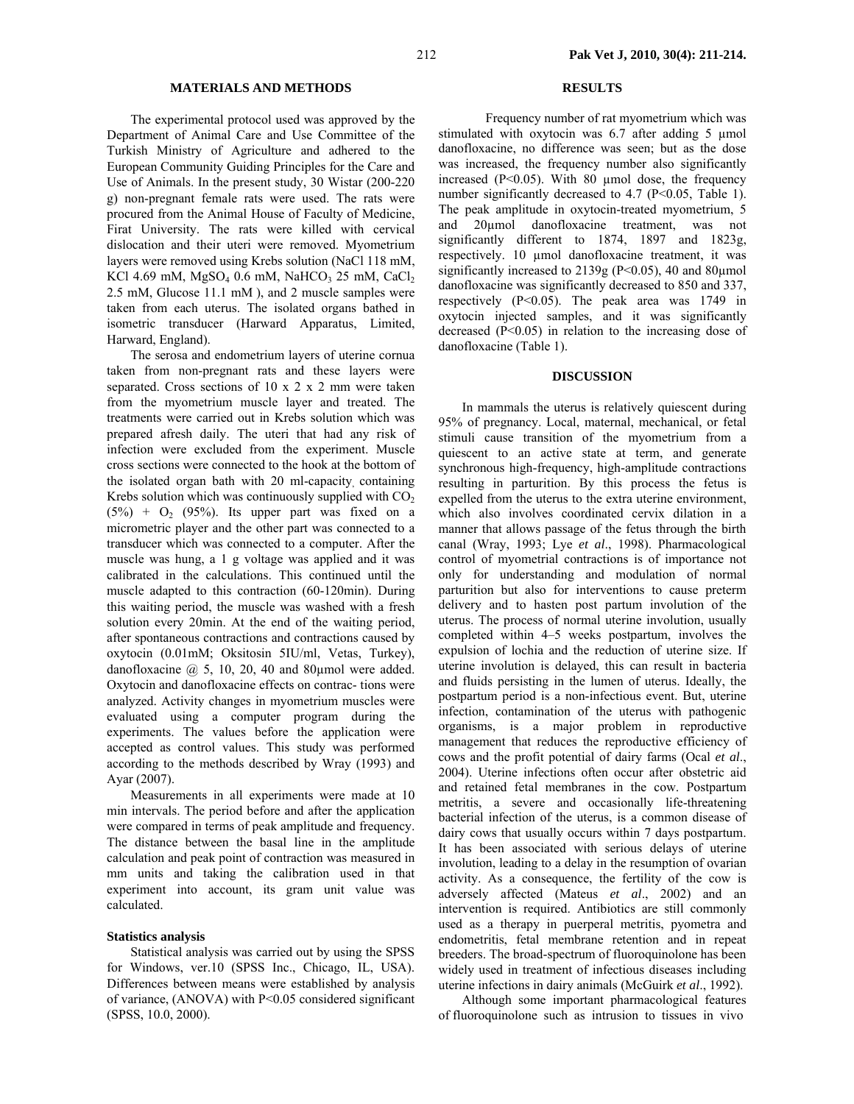## **MATERIALS AND METHODS**

The experimental protocol used was approved by the Department of Animal Care and Use Committee of the Turkish Ministry of Agriculture and adhered to the European Community Guiding Principles for the Care and Use of Animals. In the present study, 30 Wistar (200-220 g) non-pregnant female rats were used. The rats were procured from the Animal House of Faculty of Medicine, Firat University. The rats were killed with cervical dislocation and their uteri were removed. Myometrium layers were removed using Krebs solution (NaCl 118 mM, KCl 4.69 mM,  $MgSO<sub>4</sub>$  0.6 mM, NaHCO<sub>3</sub> 25 mM, CaCl<sub>2</sub> 2.5 mM, Glucose 11.1 mM ), and 2 muscle samples were taken from each uterus. The isolated organs bathed in isometric transducer (Harward Apparatus, Limited, Harward, England).

The serosa and endometrium layers of uterine cornua taken from non-pregnant rats and these layers were separated. Cross sections of 10 x 2 x 2 mm were taken from the myometrium muscle layer and treated. The treatments were carried out in Krebs solution which was prepared afresh daily. The uteri that had any risk of infection were excluded from the experiment. Muscle cross sections were connected to the hook at the bottom of the isolated organ bath with 20 ml-capacity, containing Krebs solution which was continuously supplied with  $CO<sub>2</sub>$  $(5%) + O<sub>2</sub>$  (95%). Its upper part was fixed on a micrometric player and the other part was connected to a transducer which was connected to a computer. After the muscle was hung, a 1 g voltage was applied and it was calibrated in the calculations. This continued until the muscle adapted to this contraction (60-120min). During this waiting period, the muscle was washed with a fresh solution every 20min. At the end of the waiting period, after spontaneous contractions and contractions caused by oxytocin (0.01mM; Oksitosin 5IU/ml, Vetas, Turkey), danofloxacine  $(2, 5, 10, 20, 40, 40, 80, 40)$  were added. Oxytocin and danofloxacine effects on contrac- tions were analyzed. Activity changes in myometrium muscles were evaluated using a computer program during the experiments. The values before the application were accepted as control values. This study was performed according to the methods described by Wray (1993) and Ayar (2007).

Measurements in all experiments were made at 10 min intervals. The period before and after the application were compared in terms of peak amplitude and frequency. The distance between the basal line in the amplitude calculation and peak point of contraction was measured in mm units and taking the calibration used in that experiment into account, its gram unit value was calculated.

#### **Statistics analysis**

Statistical analysis was carried out by using the SPSS for Windows, ver.10 (SPSS Inc., Chicago, IL, USA). Differences between means were established by analysis of variance, (ANOVA) with P<0.05 considered significant (SPSS, 10.0, 2000).

## **RESULTS**

 Frequency number of rat myometrium which was stimulated with oxytocin was 6.7 after adding 5 µmol danofloxacine, no difference was seen; but as the dose was increased, the frequency number also significantly increased ( $P < 0.05$ ). With 80 µmol dose, the frequency number significantly decreased to 4.7 (P<0.05, Table 1). The peak amplitude in oxytocin-treated myometrium, 5 and 20µmol danofloxacine treatment, was not significantly different to 1874, 1897 and 1823g, respectively. 10 µmol danofloxacine treatment, it was significantly increased to  $2139g$  (P<0.05), 40 and 80 $\mu$ mol danofloxacine was significantly decreased to 850 and 337, respectively (P<0.05). The peak area was 1749 in oxytocin injected samples, and it was significantly decreased  $(P<0.05)$  in relation to the increasing dose of danofloxacine (Table 1).

# **DISCUSSION**

In mammals the uterus is relatively quiescent during 95% of pregnancy. Local, maternal, mechanical, or fetal stimuli cause transition of the myometrium from a quiescent to an active state at term, and generate synchronous high-frequency, high-amplitude contractions resulting in parturition. By this process the fetus is expelled from the uterus to the extra uterine environment, which also involves coordinated cervix dilation in a manner that allows passage of the fetus through the birth canal (Wray, 1993; Lye *et al*., 1998). Pharmacological control of myometrial contractions is of importance not only for understanding and modulation of normal parturition but also for interventions to cause preterm delivery and to hasten post partum involution of the uterus. The process of normal uterine involution, usually completed within 4–5 weeks postpartum, involves the expulsion of lochia and the reduction of uterine size. If uterine involution is delayed, this can result in bacteria and fluids persisting in the lumen of uterus. Ideally, the postpartum period is a non-infectious event. But, uterine infection, contamination of the uterus with pathogenic organisms, is a major problem in reproductive management that reduces the reproductive efficiency of cows and the profit potential of dairy farms (Ocal *et al*., 2004). Uterine infections often occur after obstetric aid and retained fetal membranes in the cow. Postpartum metritis, a severe and occasionally life-threatening bacterial infection of the uterus, is a common disease of dairy cows that usually occurs within 7 days postpartum. It has been associated with serious delays of uterine involution, leading to a delay in the resumption of ovarian activity. As a consequence, the fertility of the cow is adversely affected (Mateus *et al*., 2002) and an intervention is required. Antibiotics are still commonly used as a therapy in puerperal metritis, pyometra and endometritis, fetal membrane retention and in repeat breeders. The broad-spectrum of fluoroquinolone has been widely used in treatment of infectious diseases including uterine infections in dairy animals (McGuirk *et al*., 1992).

Although some important pharmacological features of fluoroquinolone such as intrusion to tissues in vivo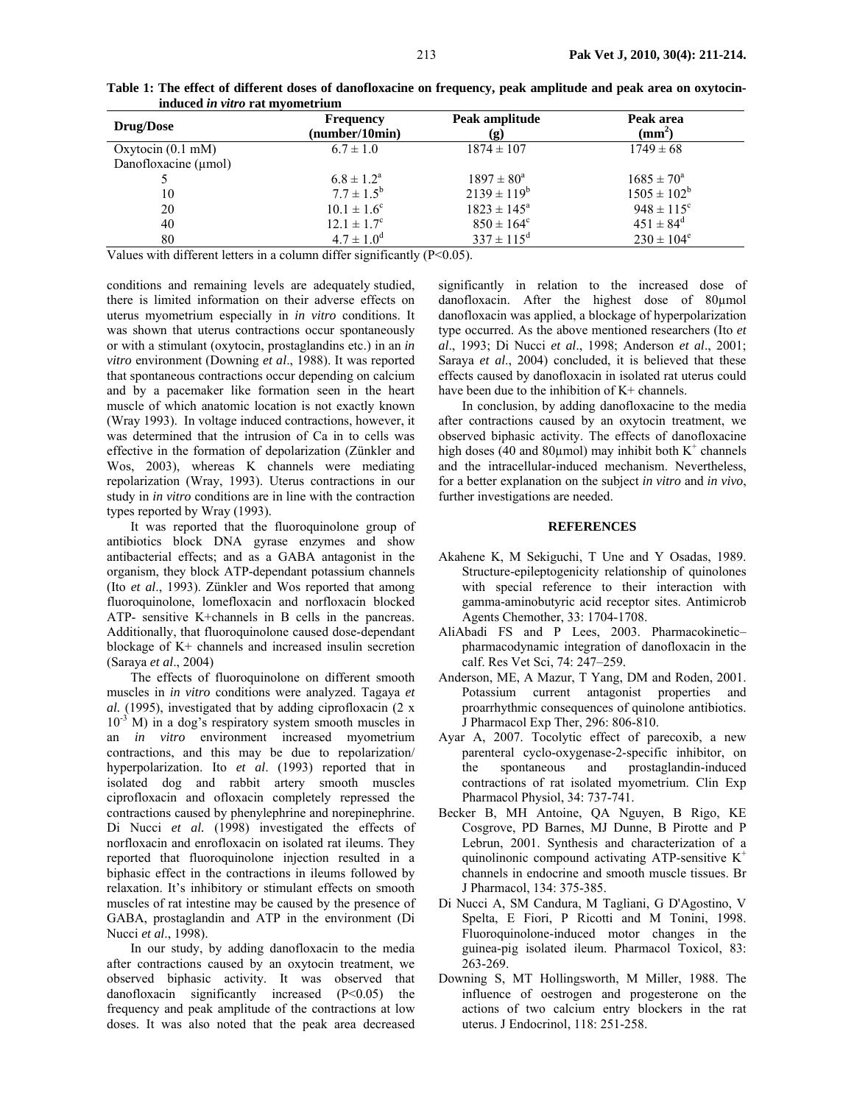| Drug/Dose                        | <b>Frequency</b><br>(number/10min) | Peak amplitude<br>(g)  | Peak area<br>$(\mathbf{mm}^2)$ |
|----------------------------------|------------------------------------|------------------------|--------------------------------|
| Oxytocin $(0.1 \text{ mM})$      | $6.7 \pm 1.0$                      | $1874 \pm 107$         | $1749 \pm 68$                  |
| Danofloxacine $(\mu \text{mol})$ |                                    |                        |                                |
|                                  | $6.8 \pm 1.2^{\rm a}$              | $1897 \pm 80^{\circ}$  | $1685 \pm 70^{\circ}$          |
| 10                               | $7.7 \pm 1.5^{\rm b}$              | $2139 \pm 119^b$       | $1505 \pm 102^b$               |
| 20                               | $10.1 \pm 1.6^{\circ}$             | $1823 \pm 145^{\circ}$ | $948 \pm 115$ <sup>c</sup>     |
| 40                               | $12.1 \pm 1.7^c$                   | $850 \pm 164^{\circ}$  | $451 \pm 84^{\rm d}$           |
| 80                               | $4.7 \pm 1.0^{\circ}$              | $337 \pm 115^{\rm d}$  | $230 \pm 104^e$                |

**Table 1: The effect of different doses of danofloxacine on frequency, peak amplitude and peak area on oxytocininduced** *in vitro* **rat myometrium** 

Values with different letters in a column differ significantly  $(P<0.05)$ .

conditions and remaining levels are adequately studied, there is limited information on their adverse effects on uterus myometrium especially in *in vitro* conditions. It was shown that uterus contractions occur spontaneously or with a stimulant (oxytocin, prostaglandins etc.) in an *in vitro* environment (Downing *et al*., 1988). It was reported that spontaneous contractions occur depending on calcium and by a pacemaker like formation seen in the heart muscle of which anatomic location is not exactly known (Wray 1993). In voltage induced contractions, however, it was determined that the intrusion of Ca in to cells was effective in the formation of depolarization (Zünkler and Wos, 2003), whereas K channels were mediating repolarization (Wray, 1993). Uterus contractions in our study in *in vitro* conditions are in line with the contraction types reported by Wray (1993).

It was reported that the fluoroquinolone group of antibiotics block DNA gyrase enzymes and show antibacterial effects; and as a GABA antagonist in the organism, they block ATP-dependant potassium channels (Ito *et al*., 1993). Zünkler and Wos reported that among fluoroquinolone, lomefloxacin and norfloxacin blocked ATP- sensitive K+channels in B cells in the pancreas. Additionally, that fluoroquinolone caused dose-dependant blockage of K+ channels and increased insulin secretion (Saraya *et al*., 2004)

The effects of fluoroquinolone on different smooth muscles in *in vitro* conditions were analyzed. Tagaya *et al.* (1995), investigated that by adding ciprofloxacin (2 x  $10^{-3}$  M) in a dog's respiratory system smooth muscles in an *in vitro* environment increased myometrium contractions, and this may be due to repolarization/ hyperpolarization. Ito *et al*. (1993) reported that in isolated dog and rabbit artery smooth muscles ciprofloxacin and ofloxacin completely repressed the contractions caused by phenylephrine and norepinephrine. Di Nucci *et al.* (1998) investigated the effects of norfloxacin and enrofloxacin on isolated rat ileums. They reported that fluoroquinolone injection resulted in a biphasic effect in the contractions in ileums followed by relaxation. It's inhibitory or stimulant effects on smooth muscles of rat intestine may be caused by the presence of GABA, prostaglandin and ATP in the environment (Di Nucci *et al*., 1998).

In our study, by adding danofloxacin to the media after contractions caused by an oxytocin treatment, we observed biphasic activity. It was observed that danofloxacin significantly increased (P<0.05) the frequency and peak amplitude of the contractions at low doses. It was also noted that the peak area decreased significantly in relation to the increased dose of danofloxacin. After the highest dose of 80µmol danofloxacin was applied, a blockage of hyperpolarization type occurred. As the above mentioned researchers (Ito *et al*., 1993; Di Nucci *et al*., 1998; Anderson *et al*., 2001; Saraya *et al*., 2004) concluded, it is believed that these effects caused by danofloxacin in isolated rat uterus could have been due to the inhibition of K+ channels.

In conclusion, by adding danofloxacine to the media after contractions caused by an oxytocin treatment, we observed biphasic activity. The effects of danofloxacine high doses (40 and 80 $\mu$ mol) may inhibit both K<sup>+</sup> channels and the intracellular-induced mechanism. Nevertheless, for a better explanation on the subject *in vitro* and *in vivo*, further investigations are needed.

### **REFERENCES**

- Akahene K, M Sekiguchi, T Une and Y Osadas, 1989. Structure-epileptogenicity relationship of quinolones with special reference to their interaction with gamma-aminobutyric acid receptor sites. Antimicrob Agents Chemother, 33: 1704-1708.
- AliAbadi FS and P Lees, 2003. Pharmacokinetic– pharmacodynamic integration of danofloxacin in the calf. Res Vet Sci, 74: 247–259.
- Anderson, ME, A Mazur, T Yang, DM and Roden, 2001. Potassium current antagonist properties and proarrhythmic consequences of quinolone antibiotics. J Pharmacol Exp Ther, 296: 806-810.
- Ayar A, 2007. Tocolytic effect of parecoxib, a new parenteral cyclo-oxygenase-2-specific inhibitor, on the spontaneous and prostaglandin-induced contractions of rat isolated myometrium. Clin Exp Pharmacol Physiol, 34: 737-741.
- Becker B, MH Antoine, QA Nguyen, B Rigo, KE Cosgrove, PD Barnes, MJ Dunne, B Pirotte and P Lebrun, 2001. Synthesis and characterization of a quinolinonic compound activating ATP-sensitive  $K^+$ channels in endocrine and smooth muscle tissues. Br J Pharmacol, 134: 375-385.
- Di Nucci A, SM Candura, M Tagliani, G D'Agostino, V Spelta, E Fiori, P Ricotti and M Tonini, 1998. Fluoroquinolone-induced motor changes in the guinea-pig isolated ileum. Pharmacol Toxicol, 83: 263-269.
- Downing S, MT Hollingsworth, M Miller, 1988. The influence of oestrogen and progesterone on the actions of two calcium entry blockers in the rat uterus. J Endocrinol, 118: 251-258.